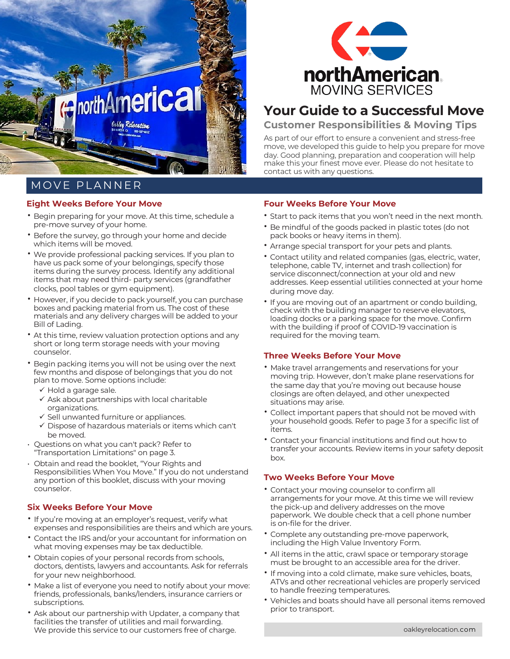

## MOVE PLANNER

#### **Eight Weeks Before Your Move**

- Begin preparing for your move. At this time, schedule a pre-move survey of your home.
- Before the survey, go through your home and decide which items will be moved.
- We provide professional packing services. If you plan to have us pack some of your belongings, specify those items during the survey process. Identify any additional items that may need third- party services (grandfather clocks, pool tables or gym equipment).
- However, if you decide to pack yourself, you can purchase boxes and packing material from us. The cost of these materials and any delivery charges will be added to your Bill of Lading.
- At this time, review valuation protection options and any short or long term storage needs with your moving counselor.
- Begin packing items you will not be using over the next few months and dispose of belongings that you do not plan to move. Some options include:
	- $\checkmark$  Hold a garage sale.
	- $\checkmark$  Ask about partnerships with local charitable organizations.
	- $\checkmark$  Sell unwanted furniture or appliances.
	- $\checkmark$  Dispose of hazardous materials or items which can't be moved.
- Questions on what you can't pack? Refer to "Transportation Limitations" on page 3.
- Obtain and read the booklet, "Your Rights and Responsibilities When You Move." If you do not understand any portion of this booklet, discuss with your moving counselor.

## **Six Weeks Before Your Move**

- If you're moving at an employer's request, verify what expenses and responsibilities are theirs and which are yours.
- Contact the IRS and/or your accountant for information on what moving expenses may be tax deductible.
- Obtain copies of your personal records from schools, doctors, dentists, lawyers and accountants. Ask for referrals for your new neighborhood.
- Make a list of everyone you need to notify about your move: friends, professionals, banks/lenders, insurance carriers or subscriptions.
- Ask about our partnership with Updater, a company that facilities the transfer of utilities and mail forwarding. We provide this service to our customers free of charge.



## **Your Guide to a Successful Move**

**Customer Responsibilities & Moving Tips**

As part of our effort to ensure a convenient and stress-free move, we developed this guide to help you prepare for move day. Good planning, preparation and cooperation will help make this your finest move ever. Please do not hesitate to contact us with any questions.

### **Four Weeks Before Your Move**

- Start to pack items that you won't need in the next month.
- Be mindful of the goods packed in plastic totes (do not pack books or heavy items in them).
- Arrange special transport for your pets and plants.
- Contact utility and related companies (gas, electric, water, telephone, cable TV, internet and trash collection) for service disconnect/connection at your old and new addresses. Keep essential utilities connected at your home during move day.
- If you are moving out of an apartment or condo building, check with the building manager to reserve elevators, loading docks or a parking space for the move. Confirm with the building if proof of COVID-19 vaccination is required for the moving team.

#### **Three Weeks Before Your Move**

- Make travel arrangements and reservations for your moving trip. However, don't make plane reservations for the same day that you're moving out because house closings are often delayed, and other unexpected situations may arise.
- Collect important papers that should not be moved with your household goods. Refer to page 3 for a specific list of items.
- Contact your financial institutions and find out how to transfer your accounts. Review items in your safety deposit box.

#### **Two Weeks Before Your Move**

- Contact your moving counselor to confirm all arrangements for your move. At this time we will review the pick-up and delivery addresses on the move paperwork. We double check that a cell phone number is on-file for the driver.
- Complete any outstanding pre-move paperwork, including the High Value Inventory Form.
- All items in the attic, crawl space or temporary storage must be brought to an accessible area for the driver.
- If moving into a cold climate, make sure vehicles, boats, ATVs and other recreational vehicles are properly serviced to handle freezing temperatures.
- Vehicles and boats should have all personal items removed prior to transport.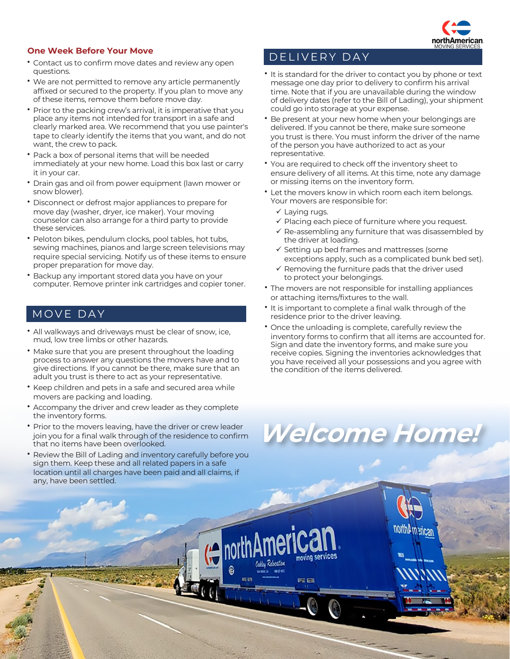## DELIVERY DAY **One Week Before Your Move**

- Contact us to confirm move dates and review any open questions.
- We are not permitted to remove any article permanently affixed or secured to the property. If you plan to move any of these items, remove them before move day.
- Prior to the packing crew's arrival, it is imperative that you place any items not intended for transport in a safe and clearly marked area. We recommend that you use painter's tape to clearly identify the items that you want, and do not want, the crew to pack.
- Pack a box of personal items that will be needed immediately at your new home. Load this box last or carry it in your car.
- Drain gas and oil from power equipment (lawn mower or snow blower).
- Disconnect or defrost major appliances to prepare for move day (washer, dryer, ice maker). Your moving counselor can also arrange for a third party to provide these services.
- Peloton bikes, pendulum clocks, pool tables, hot tubs, sewing machines, pianos and large screen televisions may require special servicing. Notify us of these items to ensure proper preparation for move day.
- Backup any important stored data you have on your computer. Remove printer ink cartridges and copier toner.

## MOVE DAY

- All walkways and driveways must be clear of snow, ice, mud, low tree limbs or other hazards.
- Make sure that you are present throughout the loading process to answer any questions the movers have and to give directions. If you cannot be there, make sure that an adult you trust is there to act as your representative.
- Keep children and pets in a safe and secured area while movers are packing and loading.
- Accompany the driver and crew leader as they complete the inventory forms.
- Prior to the movers leaving, have the driver or crew leader join you for a final walk through of the residence to confirm that no items have been overlooked.
- Review the Bill of Lading and inventory carefully before you sign them. Keep these and all related papers in a safe location until all charges have been paid and all claims, if any, have been settled.

- It is standard for the driver to contact you by phone or text message one day prior to delivery to confirm his arrival time. Note that if you are unavailable during the window of delivery dates (refer to the Bill of Lading), your shipment could go into storage at your expense.
- Be present at your new home when your belongings are delivered. If you cannot be there, make sure someone you trust is there. You must inform the driver of the name of the person you have authorized to act as your representative.
- You are required to check off the inventory sheet to ensure delivery of all items. At this time, note any damage or missing items on the inventory form.
- Let the movers know in which room each item belongs. Your movers are responsible for:
	- $\checkmark$  Laying rugs.
	- $\checkmark$  Placing each piece of furniture where you request.
	- $\checkmark$  Re-assembling any furniture that was disassembled by the driver at loading.
	- $\checkmark$  Setting up bed frames and mattresses (some exceptions apply, such as a complicated bunk bed set).
	- $\checkmark$  Removing the furniture pads that the driver used to protect your belongings.
- The movers are not responsible for installing appliances or attaching items/fixtures to the wall.
- It is important to complete a final walk through of the residence prior to the driver leaving.
- Once the unloading is complete, carefully review the inventory forms to confirm that all items are accounted for. Sign and date the inventory forms, and make sure you receive copies. Signing the inventories acknowledges that you have received all your possessions and you agree with the condition of the items delivered.

# **Welcome Home!**

moving services

**RED EES** 

**Zdwating**